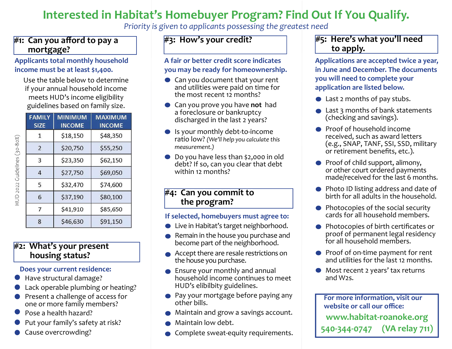# Interested in Habitat's Homebuyer Program? Find Out If You Qualify.

Priority is given to applicants possessing the greatest need

## $\#1$ : Can you afford to pay a mortgage?

### Applicants total monthly household income must be at least \$1,400.

Use the table below to determine if your annual household income meets HUD's income eligibility guidelines based on family size.

| <b>FAMILY</b><br><b>SIZE</b> | <b>MINIMUM</b><br><b>INCOME</b> | MAXIMUM<br><b>INCOME</b> |
|------------------------------|---------------------------------|--------------------------|
| 1                            | \$18,150                        | \$48,350                 |
| $\overline{\phantom{0}}$     | \$20,750                        | \$55,250                 |
| 3                            | \$23,350                        | \$62,150                 |
| $\overline{4}$               | \$27,750                        | \$69,050                 |
| 5                            | \$32,470                        | \$74,600                 |
| 6                            | \$37,190                        | \$80,100                 |
| $\overline{7}$               | \$41,910                        | \$85,650                 |
| 8                            | \$46,630                        | \$91,150                 |

HUD 2022 Guidelines (30-80%)

## #2: What's your present housing status?

### Does your current residence:

- Have structural damage?
- Lack operable plumbing or heating?
- **Present a challenge of access for** one or more family members?
- Pose a health hazard?
- Put your family's safety at risk?
- Cause overcrowding?

# #3: How's your credit?

A fair or better credit score indicates you may be ready for homeownership.

- Can you document that your rent and utilities were paid on time for the most recent 12 months?
- Can you prove you have not had a foreclosure or bankruptcy discharged in the last 2 years?
- Is your monthly debt-to-income ratio low? (We'll help you calculate this measurement.)
- Do you have less than \$2,000 in old debt? If so, can you clear that debt within 12 months?

### #4: Can you commit to the program?

### If selected, homebuyers must agree to:

- Live in Habitat's target neighborhood.
- Remain in the house you purchase and become part of the neighborhood.
- Accept there are resale restrictions on the house you purchase.
- Ensure your monthly and annual household income continues to meet HUD's elibilbity guidelines.
- **Pay your mortgage before paying any** other bills.
- Maintain and grow a savings account.
- Maintain low debt.
- Complete sweat-equity requirements.

## #5: Here's what you'll need to apply.

Applications are accepted twice a year, in June and December. The documents you will need to complete your application are listed below.

- Last 2 months of pay stubs.
- **■** Last 3 months of bank statements (checking and savings).
- **•** Proof of household income received, such as award letters (e.g., SNAP, TANF, SSI, SSD, military or retirement benefits, etc.).
- $\bullet$  Proof of child support, alimony, or other court ordered payments made/received for the last 6 months.
- Photo ID listing address and date of birth for all adults in the household.
- $\bullet$  Photocopies of the social security cards for all household members.
- $\bullet$  Photocopies of birth certificates or proof of permanent legal residency for all household members.
- Proof of on-time payment for rent and utilities for the last 12 months.
- Most recent 2 years' tax returns and W2s.

For more information, visit our website or call our office: www.habitat-roanoke.org 540-344-0747 (VA relay 711)